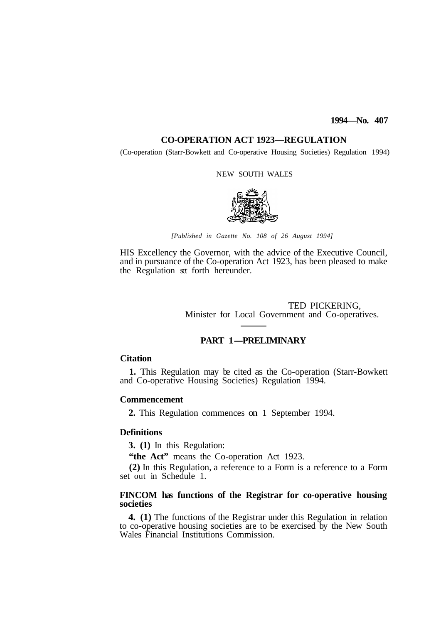# **1994—No. 407**

# **CO-OPERATION ACT 1923—REGULATION**

(Co-operation (Starr-Bowkett and Co-operative Housing Societies) Regulation 1994)

#### NEW SOUTH WALES



*[Published in Gazette No. 108 of 26 August 1994]* 

HIS Excellency the Governor, with the advice of the Executive Council, and in pursuance of the Co-operation Act 1923, has been pleased to make the Regulation set forth hereunder.

> TED PICKERING, Minister for Local Government and Co-operatives.

# **PART 1-PRELIMINARY**

# **Citation**

and Co-operative Housing Societies) Regulation 1994. 1. This Regulation may be cited as the Co-operation (Starr-Bowkett)

# **Commencement**

**2.** This Regulation commences on 1 September 1994.

# **Definitions**

**3. (1)** In this Regulation:

"the Act" means the Co-operation Act 1923.

**(2)** In this Regulation, a reference to a Form is a reference to a Form set out in Schedule 1.

# **FINCOM has functions of the Registrar for co-operative housing societies**

**4. (1)** The functions of the Registrar under this Regulation in relation to co-operative housing societies are to be exercised by the New South Wales Financial Institutions Commission.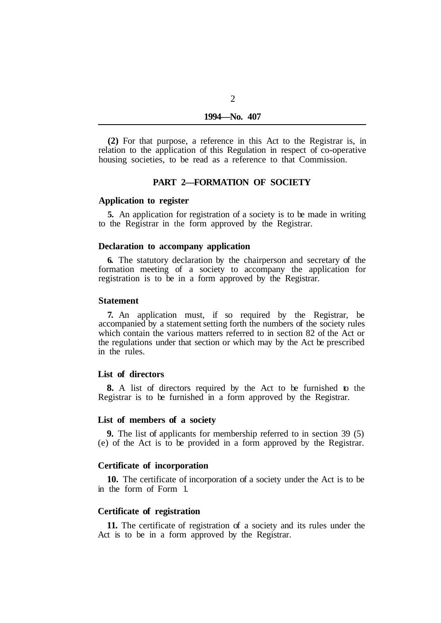**(2)** For that purpose, a reference in this Act to the Registrar is, in relation to the application of this Regulation in respect of co-operative housing societies, to be read as a reference to that Commission.

# **PART 2—FORMATION OF SOCIETY**

## **Application to register**

to the Registrar in the form approved by the Registrar. **5.** An application for registration of a society is to be made in writing

#### **Declaration to accompany application**

**6.** The statutory declaration by the chairperson and secretary of the formation meeting of a society to accompany the application for registration is to be in a form approved by the Registrar.

#### **Statement**

**7.** An application must, if so required by the Registrar, be accompanied by a statement setting forth the numbers of the society rules which contain the various matters referred to in section 82 of the Act or the regulations under that section or which may by the Act be prescribed in the rules.

## **List of directors**

Registrar is to be furnished in a form approved by the Registrar. **8.** A list of directors required by the Act to be furnished to the

## **List of members of a society**

**9.** The list of applicants for membership referred to in section 39 (5) (e) of the Act is to be provided in a form approved by the Registrar.

## **Certificate of incorporation**

in the form of Form 1. **10.** The certificate of incorporation of a society under the Act is to be

# **Certificate of registration**

Act is to be in a form approved by the Registrar. **11.** The certificate of registration of a society and its rules under the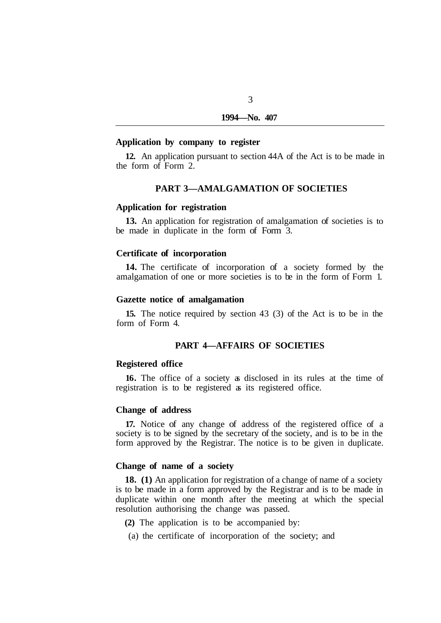# **Application by company to register**

the form of Form 2. **12.** An application pursuant to section 44A of the Act is to be made in

# **PART 3—AMALGAMATION OF SOCIETIES**

## **Application for registration**

be made in duplicate in the form of Form 3. **13.** An application for registration of amalgamation of societies is to

#### **Certificate of incorporation**

**14.** The certificate of incorporation of a society formed by the amalgamation of one or more societies is to be in the form of Form 1.

# **Gazette notice of amalgamation**

form of Form 4. **15.** The notice required by section 43 (3) of the Act is to be in the

## **PART 4—AFFAIRS OF SOCIETIES**

## **Registered office**

registration is to be registered as its registered office. **16.** The office of a society as disclosed in its rules at the time of

## **Change of address**

**17.** Notice of any change of address of the registered office of a society is to be signed by the secretary of the society, and is to be in the form approved by the Registrar. The notice is to be given in duplicate.

## **Change of name of a society**

**18. (1)** An application for registration of a change of name of a society is to be made in a form approved by the Registrar and is to be made in duplicate within one month after the meeting at which the special resolution authorising the change was passed.

- **(2)** The application is to be accompanied by:
- (a) the certificate of incorporation of the society; and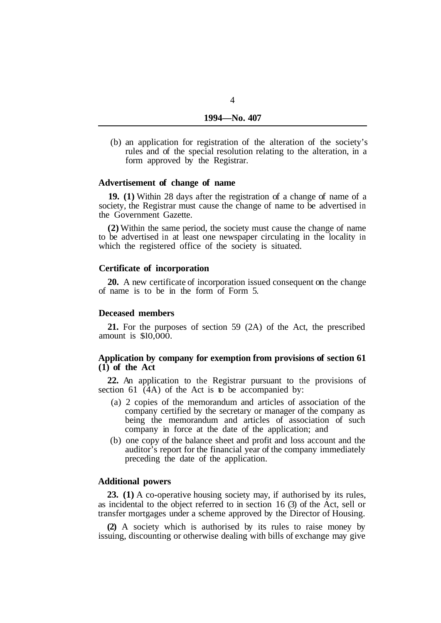(b) an application for registration of the alteration of the society's rules and of the special resolution relating to the alteration, in a form approved by the Registrar.

#### **Advertisement of change of name**

**19. (1)** Within 28 days after the registration of a change of name of a society, the Registrar must cause the change of name to be advertised in the Government Gazette.

**(2)** Within the same period, the society must cause the change of name to be advertised in at least one newspaper circulating in the locality in which the registered office of the society is situated.

# **Certificate of incorporation**

of name is to be in the form of Form 5. **20.** A new certificate of incorporation issued consequent on the change

#### **Deceased members**

amount is \$l0,000. **21.** For the purposes of section 59 (2A) of the Act, the prescribed

# **Application by company for exemption from provisions of section 61 (1) of the Act**

**22.** An application to the Registrar pursuant to the provisions of section 61 (4A) of the Act is to be accompanied by:

- (a) 2 copies of the memorandum and articles of association of the company certified by the secretary or manager of the company as being the memorandum and articles of association of such company in force at the date of the application; and
- (b) one copy of the balance sheet and profit and loss account and the auditor's report for the financial year of the company immediately preceding the date of the application.

# **Additional powers**

**23. (1)** A co-operative housing society may, if authorised by its rules, as incidental to the object referred to in section 16 (3) of the Act, sell or transfer mortgages under a scheme approved by the Director of Housing.

**(2)** A society which is authorised by its rules to raise money by issuing, discounting or otherwise dealing with bills of exchange may give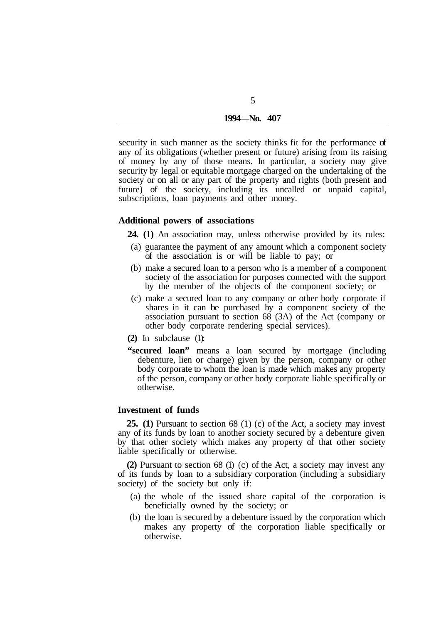| 1994—No. | 407 |
|----------|-----|
|          |     |

security in such manner as the society thinks fit for the performance of any of its obligations (whether present or future) arising from its raising of money by any of those means. In particular, a society may give security by legal or equitable mortgage charged on the undertaking of the society or on all or any part of the property and rights (both present and future) of the society, including its uncalled or unpaid capital, subscriptions, loan payments and other money.

# **Additional powers of associations**

**24. (1)** An association may, unless otherwise provided by its rules:

- (a) guarantee the payment of any amount which a component society of the association is or will be liable to pay; or
- (b) make a secured loan to a person who is a member of a component society of the association for purposes connected with the support by the member of the objects of the component society; or
- (c) make a secured loan to any company or other body corporate if shares in it can be purchased by a component society of the association pursuant to section 68 (3A) of the Act (company or other body corporate rendering special services).
- **(2)** In subclause (1):
- **"secured loan"** means a loan secured by mortgage (including debenture, lien or charge) given by the person, company or other body corporate to whom the loan is made which makes any property of the person, company or other body corporate liable specifically or otherwise.

# **Investment of funds**

**25. (1)** Pursuant to section 68 (1) (c) of the Act, a society may invest any of its funds by loan to another society secured by a debenture given by that other society which makes any property of that other society liable specifically or otherwise.

**(2)** Pursuant to section 68 (1) (c) of the Act, a society may invest any of its funds by loan to a subsidiary corporation (including a subsidiary society) of the society but only if:

- (a) the whole of the issued share capital of the corporation is beneficially owned by the society; or
- (b) the loan is secured by a debenture issued by the corporation which makes any property of the corporation liable specifically or otherwise.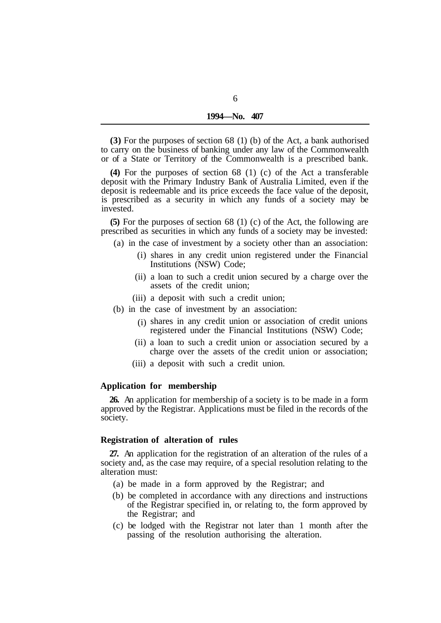**(3)** For the purposes of section 68 (1) (b) of the Act, a bank authorised to carry on the business of banking under any law of the Commonwealth or of a State or Territory of the Commonwealth is a prescribed bank.

**(4)** For the purposes of section 68 (1) (c) of the Act a transferable deposit with the Primary Industry Bank of Australia Limited, even if the deposit is redeemable and its price exceeds the face value of the deposit, is prescribed as a security in which any funds of a society may be invested.

**(5)** For the purposes of section 68 (1) (c) of the Act, the following are prescribed as securities in which any funds of a society may be invested:

- (a) in the case of investment by a society other than an association:
	- (i) shares in any credit union registered under the Financial Institutions (NSW) Code;
	- (ii) a loan to such a credit union secured by a charge over the assets of the credit union;
	- (iii) a deposit with such a credit union;
- (b) in the case of investment by an association:
	- (i) shares in any credit union or association of credit unions registered under the Financial Institutions (NSW) Code;
	- (ii) a loan to such a credit union or association secured by a charge over the assets of the credit union or association;
	- (iii) a deposit with such a credit union.

# **Application for membership**

**26.** An application for membership of a society is to be made in a form approved by the Registrar. Applications must be filed in the records of the society.

# **Registration of alteration of rules**

**27.** An application for the registration of an alteration of the rules of a society and, as the case may require, of a special resolution relating to the alteration must:

- (a) be made in a form approved by the Registrar; and
- (b) be completed in accordance with any directions and instructions of the Registrar specified in, or relating to, the form approved by the Registrar; and
- (c) be lodged with the Registrar not later than 1 month after the passing of the resolution authorising the alteration.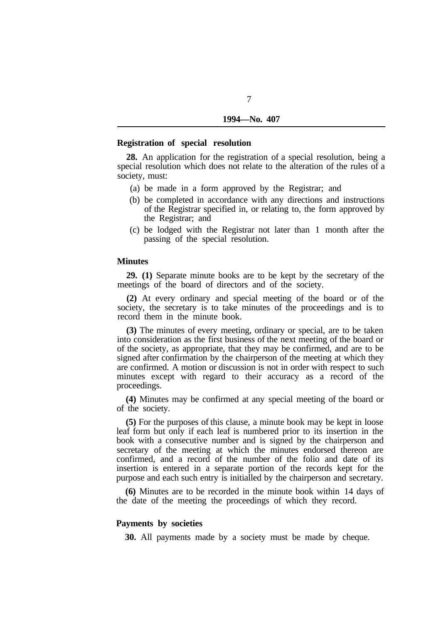## **Registration of special resolution**

**28.** An application for the registration of a special resolution, being a special resolution which does not relate to the alteration of the rules of a society, must:

- (a) be made in a form approved by the Registrar; and
- (b) be completed in accordance with any directions and instructions of the Registrar specified in, or relating to, the form approved by the Registrar; and
- (c) be lodged with the Registrar not later than 1 month after the passing of the special resolution.

#### **Minutes**

**29. (1)** Separate minute books are to be kept by the secretary of the meetings of the board of directors and of the society.

**(2)** At every ordinary and special meeting of the board or of the society, the secretary is to take minutes of the proceedings and is to record them in the minute book.

**(3)** The minutes of every meeting, ordinary or special, are to be taken into consideration as the first business of the next meeting of the board or of the society, as appropriate, that they may be confirmed, and are to be signed after confirmation by the chairperson of the meeting at which they are confirmed. A motion or discussion is not in order with respect to such minutes except with regard to their accuracy as a record of the proceedings.

**(4)** Minutes may be confirmed at any special meeting of the board or of the society.

**(5)** For the purposes of this clause, a minute book may be kept in loose leaf form but only if each leaf is numbered prior to its insertion in the book with a consecutive number and is signed by the chairperson and secretary of the meeting at which the minutes endorsed thereon are confirmed, and a record of the number of the folio and date of its insertion is entered in a separate portion of the records kept for the purpose and each such entry is initialled by the chairperson and secretary.

**(6)** Minutes are to be recorded in the minute book within 14 days of the date of the meeting the proceedings of which they record.

# **Payments by societies**

**30.** All payments made by a society must be made by cheque.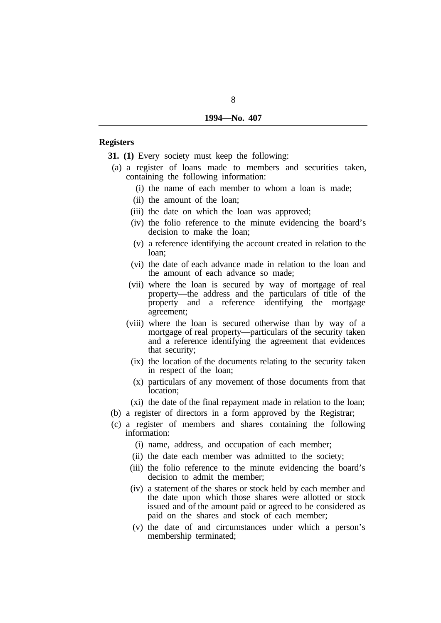# **Registers**

**31. (1)** Every society must keep the following:

- containing the following information: (a) a register of loans made to members and securities taken,
	- (i) the name of each member to whom a loan is made;
	- (ii) the amount of the loan;
	- (iii) the date on which the loan was approved;
	- (iv) the folio reference to the minute evidencing the board's decision to make the loan;
	- (v) a reference identifying the account created in relation to the loan;
	- (vi) the date of each advance made in relation to the loan and the amount of each advance so made;
	- (vii) where the loan is secured by way of mortgage of real property—the address and the particulars of title of the property and a reference identifying the mortgage agreement;
	- (viii) where the loan is secured otherwise than by way of a mortgage of real property—particulars of the security taken and a reference identifying the agreement that evidences that security;
		- (ix) the location of the documents relating to the security taken in respect of the loan;
		- (x) particulars of any movement of those documents from that location;
		- (xi) the date of the final repayment made in relation to the loan;
- (b) a register of directors in a form approved by the Registrar;
- (c) a register of members and shares containing the following information:
	- (i) name, address, and occupation of each member;
	- (ii) the date each member was admitted to the society;
	- (iii) the folio reference to the minute evidencing the board's decision to admit the member;
	- (iv) a statement of the shares or stock held by each member and the date upon which those shares were allotted or stock issued and of the amount paid or agreed to be considered as paid on the shares and stock of each member;
	- (v) the date of and circumstances under which a person's membership terminated;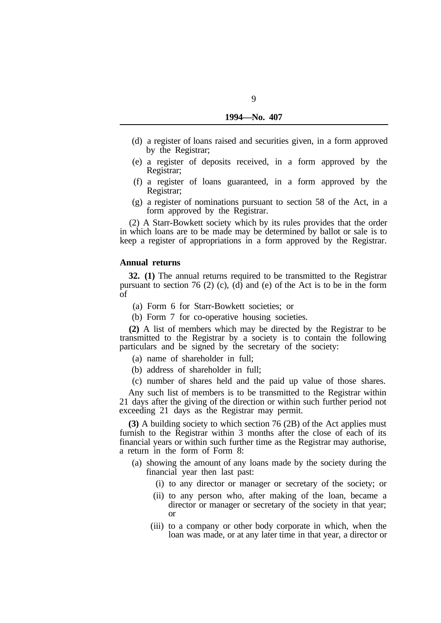- (d) a register of loans raised and securities given, in a form approved by the Registrar;
- (e) a register of deposits received, in a form approved by the Registrar;
- (f) a register of loans guaranteed, in a form approved by the Registrar;
- (g) a register of nominations pursuant to section 58 of the Act, in a form approved by the Registrar.

(2) A Starr-Bowkett society which by its rules provides that the order in which loans are to be made may be determined by ballot or sale is to keep a register of appropriations in a form approved by the Registrar.

## **Annual returns**

**32. (1)** The annual returns required to be transmitted to the Registrar pursuant to section 76 (2) (c), (d) and (e) of the Act is to be in the form of

- (a) Form 6 for Starr-Bowkett societies; or
- (b) Form 7 for co-operative housing societies.

**(2)** A list of members which may be directed by the Registrar to be transmitted to the Registrar by a society is to contain the following particulars and be signed by the secretary of the society:

- (a) name of shareholder in full;
- (b) address of shareholder in full;
- (c) number of shares held and the paid up value of those shares.

Any such list of members is to be transmitted to the Registrar within 21 days after the giving of the direction or within such further period not exceeding 21 days as the Registrar may permit.

**(3)** A building society to which section 76 (2B) of the Act applies must furnish to the Registrar within 3 months after the close of each of its financial years or within such further time as the Registrar may authorise, a return in the form of Form 8:

- (a) showing the amount of any loans made by the society during the financial year then last past:
	- (i) to any director or manager or secretary of the society; or
	- (ii) to any person who, after making of the loan, became a director or manager or secretary of the society in that year; or
	- (iii) to a company or other body corporate in which, when the loan was made, or at any later time in that year, a director or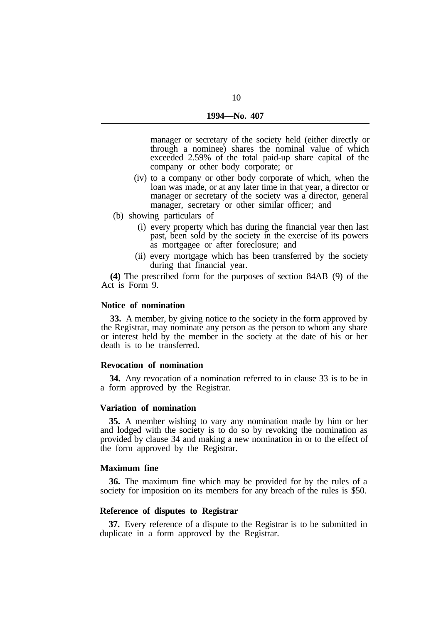manager or secretary of the society held (either directly or through a nominee) shares the nominal value of which exceeded 2.59% of the total paid-up share capital of the company or other body corporate; or

- (iv) to a company or other body corporate of which, when the loan was made, or at any later time in that year, a director or manager or secretary of the society was a director, general manager, secretary or other similar officer; and
- (b) showing particulars of
	- (i) every property which has during the financial year then last past, been sold by the society in the exercise of its powers as mortgagee or after foreclosure; and
	- (ii) every mortgage which has been transferred by the society during that financial year.

**(4)** The prescribed form for the purposes of section 84AB (9) of the Act is Form 9.

#### **Notice of nomination**

**33.** A member, by giving notice to the society in the form approved by the Registrar, may nominate any person as the person to whom any share or interest held by the member in the society at the date of his or her death is to be transferred.

#### **Revocation of nomination**

a form approved by the Registrar. **34.** Any revocation of a nomination referred to in clause 33 is to be in

## **Variation of nomination**

**35.** A member wishing to vary any nomination made by him or her and lodged with the society is to do so by revoking the nomination as provided by clause 34 and making a new nomination in or to the effect of the form approved by the Registrar.

## **Maximum fine**

**36.** The maximum fine which may be provided for by the rules of a society for imposition on its members for any breach of the rules is \$50.

#### **Reference of disputes to Registrar**

duplicate in a form approved by the Registrar. **37.** Every reference of a dispute to the Registrar is to be submitted in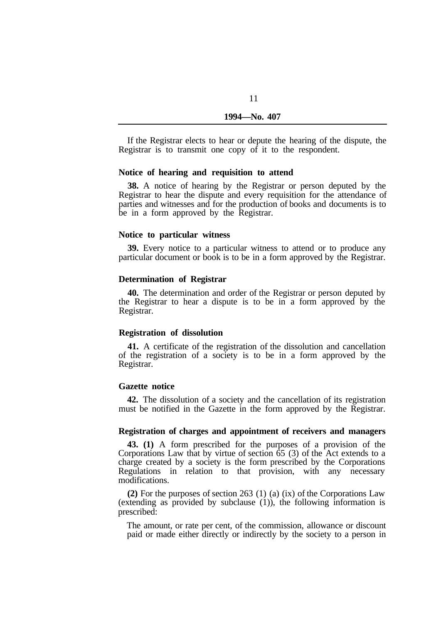If the Registrar elects to hear or depute the hearing of the dispute, the Registrar is to transmit one copy of it to the respondent.

#### **Notice of hearing and requisition to attend**

**38.** A notice of hearing by the Registrar or person deputed by the Registrar to hear the dispute and every requisition for the attendance of parties and witnesses and for the production of books and documents is to be in a form approved by the Registrar.

## **Notice to particular witness**

**39.** Every notice to a particular witness to attend or to produce any particular document or book is to be in a form approved by the Registrar.

#### **Determination of Registrar**

**40.** The determination and order of the Registrar or person deputed by the Registrar to hear a dispute is to be in a form approved by the Registrar.

## **Registration of dissolution**

**41.** A certificate of the registration of the dissolution and cancellation of the registration of a society is to be in a form approved by the Registrar.

#### **Gazette notice**

**42.** The dissolution of a society and the cancellation of its registration must be notified in the Gazette in the form approved by the Registrar.

# **Registration of charges and appointment of receivers and managers**

**43. (1)** A form prescribed for the purposes of a provision of the Corporations Law that by virtue of section  $\tilde{65}$  (3) of the Act extends to a charge created by a society is the form prescribed by the Corporations Regulations in relation to that provision, with any necessary modifications.

**(2)** For the purposes of section 263 (1) (a) (ix) of the Corporations Law (extending as provided by subclause (1)), the following information is prescribed:

The amount, or rate per cent, of the commission, allowance or discount paid or made either directly or indirectly by the society to a person in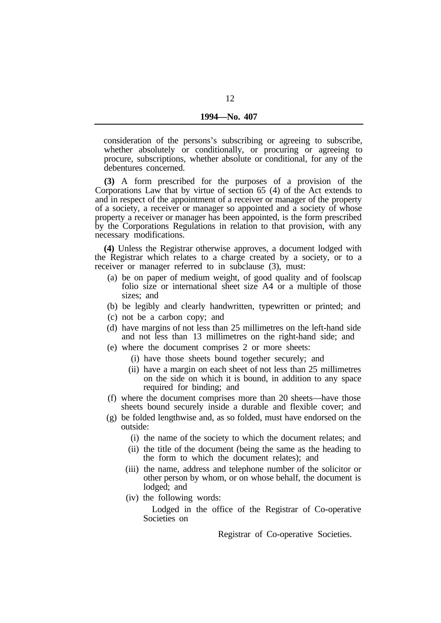consideration of the persons's subscribing or agreeing to subscribe, whether absolutely or conditionally, or procuring or agreeing to procure, subscriptions, whether absolute or conditional, for any of the debentures concerned.

**(3)** A form prescribed for the purposes of a provision of the Corporations Law that by virtue of section 65 (4) of the Act extends to and in respect of the appointment of a receiver or manager of the property of a society, a receiver or manager so appointed and a society of whose property a receiver or manager has been appointed, is the form prescribed by the Corporations Regulations in relation to that provision, with any necessary modifications.

**(4)** Unless the Registrar otherwise approves, a document lodged with the Registrar which relates to a charge created by a society, or to a receiver or manager referred to in subclause (3), must:

- (a) be on paper of medium weight, of good quality and of foolscap folio size or international sheet size A4 or a multiple of those sizes; and
- (b) be legibly and clearly handwritten, typewritten or printed; and
- (c) not be a carbon copy; and
- (d) have margins of not less than 25 millimetres on the left-hand side and not less than 13 millimetres on the right-hand side; and
- (e) where the document comprises 2 or more sheets:
	- (i) have those sheets bound together securely; and
	- (ii) have a margin on each sheet of not less than 25 millimetres on the side on which it is bound, in addition to any space required for binding; and
- (f) where the document comprises more than 20 sheets—have those sheets bound securely inside a durable and flexible cover; and
- (g) be folded lengthwise and, as so folded, must have endorsed on the outside:
	- (i) the name of the society to which the document relates; and
	- (ii) the title of the document (being the same as the heading to the form to which the document relates); and
	- (iii) the name, address and telephone number of the solicitor or other person by whom, or on whose behalf, the document is lodged; and
	- (iv) the following words:

Lodged in the office of the Registrar of Co-operative Societies on

Registrar of Co-operative Societies.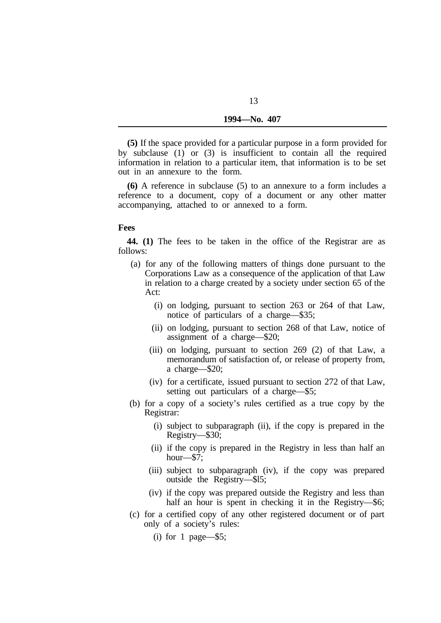| 1994—No. 407 |  |
|--------------|--|
|              |  |

**(5)** If the space provided for a particular purpose in a form provided for by subclause (1) or (3) is insufficient to contain all the required information in relation to a particular item, that information is to be set out in an annexure to the form.

**(6)** A reference in subclause (5) to an annexure to a form includes a reference to a document, copy of a document or any other matter accompanying, attached to or annexed to a form.

#### **Fees**

follows: **44. (1)** The fees to be taken in the office of the Registrar are as

- (a) for any of the following matters of things done pursuant to the Corporations Law as a consequence of the application of that Law in relation to a charge created by a society under section 65 of the Act:
	- (i) on lodging, pursuant to section 263 or 264 of that Law, notice of particulars of a charge—\$35;
	- (ii) on lodging, pursuant to section 268 of that Law, notice of assignment of a charge—\$20;
	- (iii) on lodging, pursuant to section 269 (2) of that Law, a memorandum of satisfaction of, or release of property from, a charge—\$20;
	- (iv) for a certificate, issued pursuant to section 272 of that Law, setting out particulars of a charge—\$5;
- (b) for a copy of a society's rules certified as a true copy by the Registrar:
	- (i) subject to subparagraph (ii), if the copy is prepared in the Registry—\$30;
	- (ii) if the copy is prepared in the Registry in less than half an hour—\$7;
	- (iii) subject to subparagraph (iv), if the copy was prepared outside the Registry—\$l5;
	- (iv) if the copy was prepared outside the Registry and less than half an hour is spent in checking it in the Registry—\$6;
- (c) for a certified copy of any other registered document or of part only of a society's rules:

(i) for 1 page— $$5;$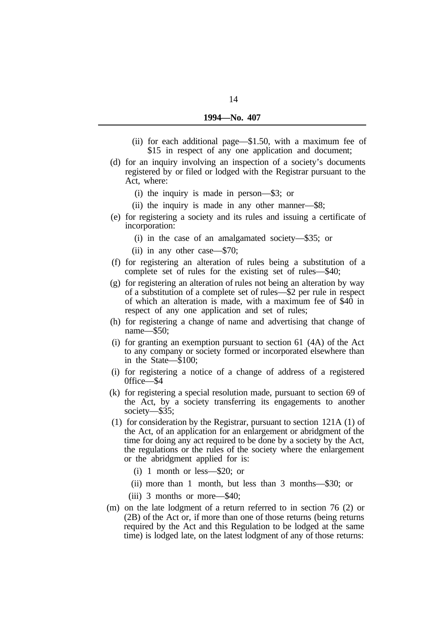- (ii) for each additional page—\$1.50, with a maximum fee of \$15 in respect of any one application and document;
- (d) for an inquiry involving an inspection of a society's documents registered by or filed or lodged with the Registrar pursuant to the Act, where:
	- (i) the inquiry is made in person—\$3; or
	- (ii) the inquiry is made in any other manner—\$8;
- (e) for registering a society and its rules and issuing a certificate of incorporation:
	- (i) in the case of an amalgamated society—\$35; or
	- (ii) in any other case—\$70;
- (f) for registering an alteration of rules being a substitution of a complete set of rules for the existing set of rules—\$40;
- (g) for registering an alteration of rules not being an alteration by way of a substitution of a complete set of rules—\$2 per rule in respect of which an alteration is made, with a maximum fee of \$40 in respect of any one application and set of rules;
- (h) for registering a change of name and advertising that change of name—\$50:
- (i) for granting an exemption pursuant to section 61 (4A) of the Act to any company or society formed or incorporated elsewhere than in the State—\$100;
- (i) for registering a notice of a change of address of a registered 0ffice—\$4
- (k) for registering a special resolution made, pursuant to section 69 of the Act, by a society transferring its engagements to another society—\$35;
- (1) for consideration by the Registrar, pursuant to section 121A (1) of the Act, of an application for an enlargement or abridgment of the time for doing any act required to be done by a society by the Act, the regulations or the rules of the society where the enlargement or the abridgment applied for is:
	- (i) 1 month or less—\$20; or
	- (ii) more than 1 month, but less than 3 months—\$30; or
	- (iii) 3 months or more—\$40;
- (m) on the late lodgment of a return referred to in section 76 (2) or (2B) of the Act or, if more than one of those returns (being returns required by the Act and this Regulation to be lodged at the same time) is lodged late, on the latest lodgment of any of those returns: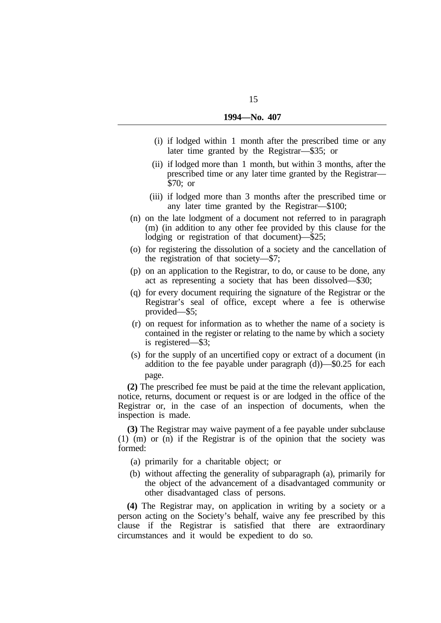- (i) if lodged within 1 month after the prescribed time or any later time granted by the Registrar—\$35; or
- (ii) if lodged more than 1 month, but within 3 months, after the prescribed time or any later time granted by the Registrar— \$70; or
- (iii) if lodged more than 3 months after the prescribed time or any later time granted by the Registrar—\$100;
- (n) on the late lodgment of a document not referred to in paragraph (m) (in addition to any other fee provided by this clause for the lodging or registration of that document)—\$25;
- (o) for registering the dissolution of a society and the cancellation of the registration of that society—\$7;
- (p) on an application to the Registrar, to do, or cause to be done, any act as representing a society that has been dissolved—\$30;
- (q) for every document requiring the signature of the Registrar or the Registrar's seal of office, except where a fee is otherwise provided—\$5;
- (r) on request for information as to whether the name of a society is contained in the register or relating to the name by which a society is registered—\$3;
- (s) for the supply of an uncertified copy or extract of a document (in addition to the fee payable under paragraph (d))—\$0.25 for each page.

**(2)** The prescribed fee must be paid at the time the relevant application, notice, returns, document or request is or are lodged in the office of the Registrar or, in the case of an inspection of documents, when the inspection is made.

**(3)** The Registrar may waive payment of a fee payable under subclause (1) (m) or (n) if the Registrar is of the opinion that the society was formed:

- (a) primarily for a charitable object; or
- (b) without affecting the generality of subparagraph (a), primarily for the object of the advancement of a disadvantaged community or other disadvantaged class of persons.

**(4)** The Registrar may, on application in writing by a society or a person acting on the Society's behalf, waive any fee prescribed by this clause if the Registrar is satisfied that there are extraordinary circumstances and it would be expedient to do so.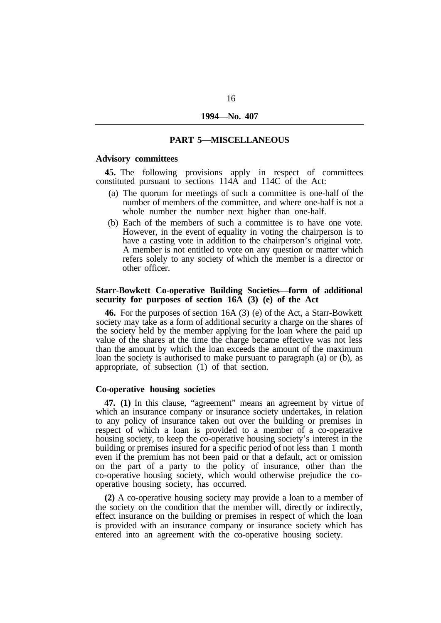## **PART 5—MISCELLANEOUS**

# **Advisory committees**

constituted pursuant to sections 114A and 114C of the Act: **45.** The following provisions apply in respect of committees

- (a) The quorum for meetings of such a committee is one-half of the number of members of the committee, and where one-half is not a whole number the number next higher than one-half.
- (b) Each of the members of such a committee is to have one vote. However, in the event of equality in voting the chairperson is to have a casting vote in addition to the chairperson's original vote. A member is not entitled to vote on any question or matter which refers solely to any society of which the member is a director or other officer.

# **Starr-Bowkett Co-operative Building Societies—form of additional security for purposes of section 16A (3) (e) of the Act**

**46.** For the purposes of section 16A (3) (e) of the Act, a Starr-Bowkett society may take as a form of additional security a charge on the shares of the society held by the member applying for the loan where the paid up value of the shares at the time the charge became effective was not less than the amount by which the loan exceeds the amount of the maximum loan the society is authorised to make pursuant to paragraph (a) or (b), as appropriate, of subsection (1) of that section.

#### **Co-operative housing societies**

**47. (1)** In this clause, "agreement" means an agreement by virtue of which an insurance company or insurance society undertakes, in relation to any policy of insurance taken out over the building or premises in respect of which a loan is provided to a member of a co-operative housing society, to keep the co-operative housing society's interest in the building or premises insured for a specific period of not less than 1 month even if the premium has not been paid or that a default, act or omission on the part of a party to the policy of insurance, other than the co-operative housing society, which would otherwise prejudice the cooperative housing society, has occurred.

**(2)** A co-operative housing society may provide a loan to a member of the society on the condition that the member will, directly or indirectly, effect insurance on the building or premises in respect of which the loan is provided with an insurance company or insurance society which has entered into an agreement with the co-operative housing society.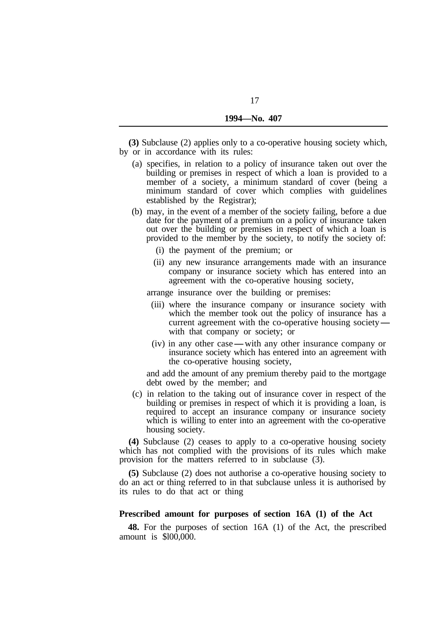**(3)** Subclause (2) applies only to a co-operative housing society which, by or in accordance with its rules:

- (a) specifies, in relation to a policy of insurance taken out over the building or premises in respect of which a loan is provided to a member of a society, a minimum standard of cover (being a minimum standard of cover which complies with guidelines established by the Registrar);
- (b) may, in the event of a member of the society failing, before a due date for the payment of a premium on a policy of insurance taken out over the building or premises in respect of which a loan is provided to the member by the society, to notify the society of:
	- (i) the payment of the premium; or
	- (ii) any new insurance arrangements made with an insurance company or insurance society which has entered into an agreement with the co-operative housing society,

arrange insurance over the building or premises:

- (iii) where the insurance company or insurance society with which the member took out the policy of insurance has a current agreement with the co-operative housing society- with that company or society; or
- (iv) in any other case with any other insurance company or insurance society which has entered into an agreement with the co-operative housing society,

and add the amount of any premium thereby paid to the mortgage debt owed by the member; and

(c) in relation to the taking out of insurance cover in respect of the building or premises in respect of which it is providing a loan, is required to accept an insurance company or insurance society which is willing to enter into an agreement with the co-operative housing society.

**(4)** Subclause (2) ceases to apply to a co-operative housing society which has not complied with the provisions of its rules which make provision for the matters referred to in subclause (3).

**(5)** Subclause (2) does not authorise a co-operative housing society to do an act or thing referred to in that subclause unless it is authorised by its rules to do that act or thing

# **Prescribed amount for purposes of section 16A (1) of the Act**

amount is \$l00,000. **48.** For the purposes of section 16A (1) of the Act, the prescribed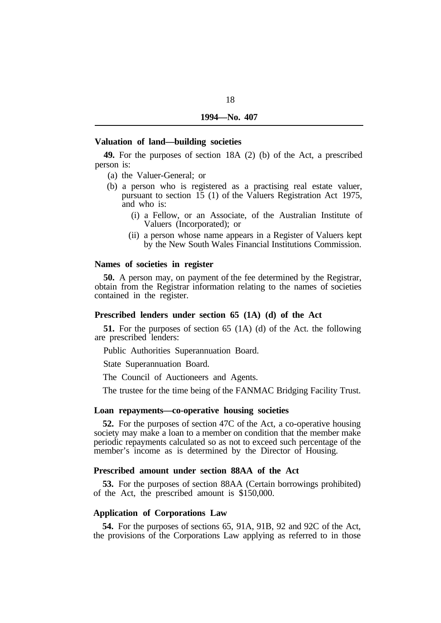#### **Valuation of land—building societies**

**49.** For the purposes of section 18A (2) (b) of the Act, a prescribed person is:

- (a) the Valuer-General; or
- (b) a person who is registered as a practising real estate valuer, pursuant to section 15 (1) of the Valuers Registration Act 1975, and who is:
	- (i) a Fellow, or an Associate, of the Australian Institute of Valuers (Incorporated); or
	- (ii) a person whose name appears in a Register of Valuers kept by the New South Wales Financial Institutions Commission.

## **Names of societies in register**

**50.** A person may, on payment of the fee determined by the Registrar, obtain from the Registrar information relating to the names of societies contained in the register.

# **Prescribed lenders under section 65 (1A) (d) of the Act**

are prescribed lenders: **51.** For the purposes of section 65 (1A) (d) of the Act. the following

Public Authorities Superannuation Board.

State Superannuation Board.

The Council of Auctioneers and Agents.

The trustee for the time being of the FANMAC Bridging Facility Trust.

#### **Loan repayments—co-operative housing societies**

**52.** For the purposes of section 47C of the Act, a co-operative housing society may make a loan to a member on condition that the member make periodic repayments calculated so as not to exceed such percentage of the member's income as is determined by the Director of Housing.

## **Prescribed amount under section 88AA of the Act**

of the Act, the prescribed amount is \$150,000. **53.** For the purposes of section 88AA (Certain borrowings prohibited)

## **Application of Corporations Law**

**54.** For the purposes of sections 65, 91A, 91B, 92 and 92C of the Act, the provisions of the Corporations Law applying as referred to in those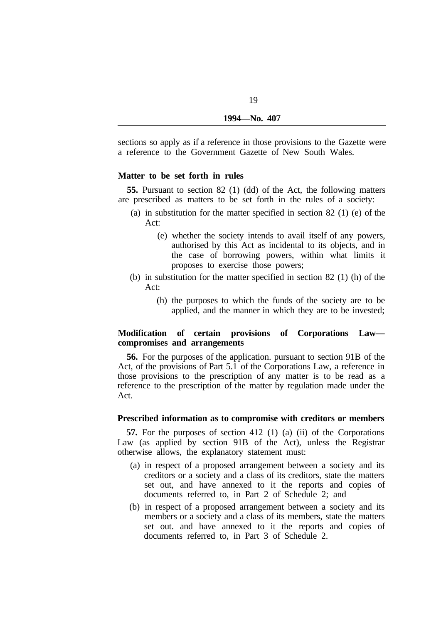sections so apply as if a reference in those provisions to the Gazette were a reference to the Government Gazette of New South Wales.

## **Matter to be set forth in rules**

are prescribed as matters to be set forth in the rules of a society: **55.** Pursuant to section 82 (1) (dd) of the Act, the following matters

- (a) in substitution for the matter specified in section 82 (1) (e) of the Act:
	- (e) whether the society intends to avail itself of any powers, authorised by this Act as incidental to its objects, and in the case of borrowing powers, within what limits it proposes to exercise those powers;
- (b) in substitution for the matter specified in section 82 (1) (h) of the Act:
	- (h) the purposes to which the funds of the society are to be applied, and the manner in which they are to be invested;

# **Modification of certain provisions of Corporations Law compromises and arrangements**

**56.** For the purposes of the application. pursuant to section 91B of the Act, of the provisions of Part 5.1 of the Corporations Law, a reference in those provisions to the prescription of any matter is to be read as a reference to the prescription of the matter by regulation made under the Act.

# **Prescribed information as to compromise with creditors or members**

**57.** For the purposes of section 412 (1) (a) (ii) of the Corporations Law (as applied by section 91B of the Act), unless the Registrar otherwise allows, the explanatory statement must:

- (a) in respect of a proposed arrangement between a society and its creditors or a society and a class of its creditors, state the matters set out, and have annexed to it the reports and copies of documents referred to, in Part 2 of Schedule 2; and
- (b) in respect of a proposed arrangement between a society and its members or a society and a class of its members, state the matters set out. and have annexed to it the reports and copies of documents referred to, in Part 3 of Schedule 2.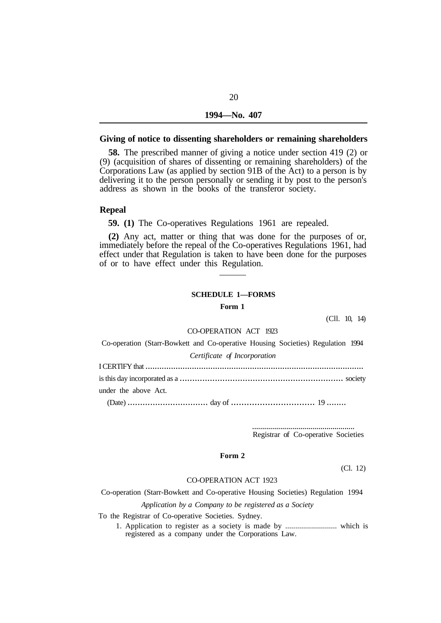#### **Giving of notice to dissenting shareholders or remaining shareholders**

**58.** The prescribed manner of giving a notice under section 419 (2) or (9) (acquisition of shares of dissenting or remaining shareholders) of the Corporations Law (as applied by section 91B of the Act) to a person is by delivering it to the person personally or sending it by post to the person's address as shown in the books of the transferor society.

#### **Repeal**

**59. (1)** The Co-operatives Regulations 1961 are repealed.

**(2)** Any act, matter or thing that was done for the purposes of or, immediately before the repeal of the Co-operatives Regulations 1961, had effect under that Regulation is taken to have been done for the purposes of or to have effect under this Regulation.

#### **SCHEDULE 1—FORMS**

**Form 1** 

(Cll. 10, 14)

#### CO-OPERATION ACT 1923

Co-operation (Starr-Bowkett and Co-operative Housing Societies) Regulation 1994

*Certificate of Incorporation* 

I CERTlFY that .............................................................................................. is this day incorporated as a ................................................................. society under the above Act.

(Date) ................................ day of ................................ 19 ........

................................................... Registrar of Co-operative Societies

## **Form 2**

(Cl. 12)

#### CO-OPERATION ACT 1923

Co-operation (Starr-Bowkett and Co-operative Housing Societies) Regulation 1994

*Application by a Company to be registered as a Society* 

To the Registrar of Co-operative Societies. Sydney.

1. Application to register as a society is made by .......................... which is registered as a company under the Corporations Law.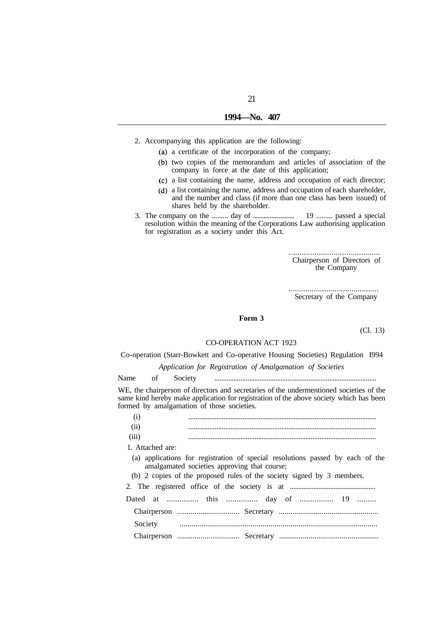# **1994—No. 407**

- 2. Accompanying this application are the following:
	- (a) a certificate of the incorporation of the company;
		- (b) two copies of the memorandum and articles of association of the company in force at the date of this application;
		- a list containing the name, address and occupation of each director;
		- a list containing the name, address and occupation of each shareholder, and the number and class (if more than one class has been issued) of shares held by the shareholder.
- 3. The company on the ......... day of ........................... 19 ......... passed a special resolution within the meaning of the Corporations Law authorising application for registration as a society under this Act.

........................................... Chairperson of Directors of the Company

........................................... Secretary of the Company

#### **Form 3**

(Cl. 13)

#### CO-OPERATION ACT 1923

Co-operation (Starr-Bowkett and Co-operative Housing Societies) Regulation I994

*Application for Registration of Amalgamation of Societies* 

Name of Society .............................................................................................

WE, the chairperson of directors and secretaries of the undermentioned societies of the same kind hereby make application for registration of the above society which has been formed by amalgamation of those societies.

| (i)     |                                                                                                                                |  |
|---------|--------------------------------------------------------------------------------------------------------------------------------|--|
| (ii)    |                                                                                                                                |  |
| (iii)   |                                                                                                                                |  |
|         | 1. Attached are:                                                                                                               |  |
|         | (a) applications for registration of special resolutions passed by each of the<br>amalgamated societies approving that course; |  |
|         | (b) 2 copies of the proposed rules of the society signed by 3 members.                                                         |  |
|         |                                                                                                                                |  |
|         | Dated at  this  day of  19                                                                                                     |  |
|         |                                                                                                                                |  |
| Society |                                                                                                                                |  |
|         |                                                                                                                                |  |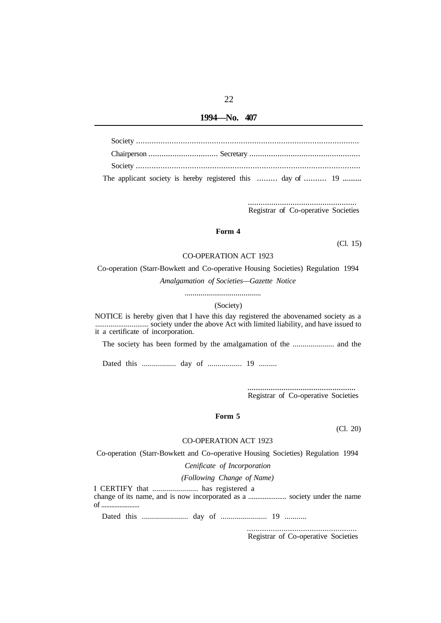#### **1994—No. 407**

| The applicant society is hereby registered this  day of  19 |
|-------------------------------------------------------------|

................................................... Registrar of Co-operative Societies

# **Form 4**

(Cl. 15)

# CO-OPERATION ACT 1923

Co-operation (Starr-Bowkett and Co-operative Housing Societies) Regulation 1994 *Amalgamation of Societies—Gazette Notice* 

.......................................

#### (Society)

NOTICE is hereby given that I have this day registered the abovenamed society as a it a certificate of incorporation. ............................ society under the above Act with limited liability, and have issued to

The society has been formed by the amalgamation of the ..................... and the

Dated this ................. day of ................. 19 .........

................................................... Registrar of Co-operative Societies

#### **Form 5**

(Cl. 20)

#### CO-OPERATION ACT 1923

Co-operation (Starr-Bowkett and Co-operative Housing Societies) Regulation 1994

*Cenificate of Incorporation* 

*(Following Change of Name)* 

I CERTIFY that ....................... has registered a change of its name, and is now incorporated as a ..................... society under the name of .......................

Dated this ....................... day of ....................... 19 ...........

................................................... Registrar of Co-operative Societies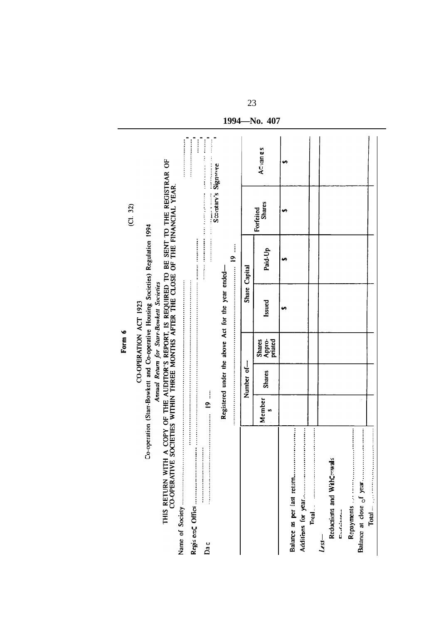|                                                 |                  |               | Form 6                             |                                                                                                                                                                                                                                                                                                                                                                                                                                                                                             |               | (C1, 32)                                                                                                                                                                                                                                                                                                                                                                                                                                                                                                         |         |
|-------------------------------------------------|------------------|---------------|------------------------------------|---------------------------------------------------------------------------------------------------------------------------------------------------------------------------------------------------------------------------------------------------------------------------------------------------------------------------------------------------------------------------------------------------------------------------------------------------------------------------------------------|---------------|------------------------------------------------------------------------------------------------------------------------------------------------------------------------------------------------------------------------------------------------------------------------------------------------------------------------------------------------------------------------------------------------------------------------------------------------------------------------------------------------------------------|---------|
|                                                 |                  |               |                                    | Co-operation (Star-Bowkett and Co-operative Housing Societies) Regulation 1994<br>CO-OPERATION ACT 1923                                                                                                                                                                                                                                                                                                                                                                                     |               |                                                                                                                                                                                                                                                                                                                                                                                                                                                                                                                  |         |
| <b>CO-OPERATIVE</b><br>THIS RETURN WITH         |                  |               |                                    | Annual Return for Start-Bowkett Societies                                                                                                                                                                                                                                                                                                                                                                                                                                                   |               | A COPY OF THE AUDITOR'S REPORT, IS REQUIRED TO BE SENT TO THE REGISTRAR OF SOCIETIES WITHIN THREE MONTHS AFTER THE CLOSE OF THE FINANCIAL YEAR.                                                                                                                                                                                                                                                                                                                                                                  |         |
| Name of Society                                 |                  |               |                                    |                                                                                                                                                                                                                                                                                                                                                                                                                                                                                             |               |                                                                                                                                                                                                                                                                                                                                                                                                                                                                                                                  |         |
| Da c                                            | Ì<br>$\tilde{=}$ |               |                                    | $\label{def:1} \begin{aligned} \mathcal{L}_{\mathcal{A}}(\mathbf{x},\mathbf{y}) = \mathcal{L}_{\mathcal{A}}(\mathbf{x},\mathbf{y}) = \mathcal{L}_{\mathcal{A}}(\mathbf{x},\mathbf{y}) = \mathcal{L}_{\mathcal{A}}(\mathbf{x},\mathbf{y}) = \mathcal{L}_{\mathcal{A}}(\mathbf{x},\mathbf{y}) = \mathcal{L}_{\mathcal{A}}(\mathbf{x},\mathbf{y}) = \mathcal{L}_{\mathcal{A}}(\mathbf{x},\mathbf{y}) = \mathcal{L}_{\mathcal{A}}(\mathbf{x},\mathbf{y}) = \mathcal{L}_{\mathcal{A}}(\mathbf{x$ |               | $\label{eq:2.1} \begin{aligned} \mathcal{L}_{\mathcal{A}}(\mathcal{A}) & = \mathcal{L}_{\mathcal{A}}(\mathcal{A}) + \mathcal{L}_{\mathcal{A}}(\mathcal{A}) + \mathcal{L}_{\mathcal{A}}(\mathcal{A}) + \mathcal{L}_{\mathcal{A}}(\mathcal{A}) + \mathcal{L}_{\mathcal{A}}(\mathcal{A}) + \mathcal{L}_{\mathcal{A}}(\mathcal{A}) + \mathcal{L}_{\mathcal{A}}(\mathcal{A}) + \mathcal{L}_{\mathcal{A}}(\mathcal{A}) + \mathcal{L}_{\mathcal{A}}(\mathcal{A}) + \mathcal{L}_{\mathcal{A}}(\mathcal$<br>$\frac{1}{1}$ | ::::    |
|                                                 |                  |               |                                    | Registered under the above Act for the year ended-                                                                                                                                                                                                                                                                                                                                                                                                                                          | $\ddot{9}$    | Socolary's Signature                                                                                                                                                                                                                                                                                                                                                                                                                                                                                             |         |
|                                                 |                  | $\frac{1}{2}$ |                                    |                                                                                                                                                                                                                                                                                                                                                                                                                                                                                             | Share Capital |                                                                                                                                                                                                                                                                                                                                                                                                                                                                                                                  |         |
|                                                 | Member<br>S,     | <b>Shares</b> | Appro-<br>priated<br><b>Shares</b> | Issued                                                                                                                                                                                                                                                                                                                                                                                                                                                                                      | Paid-Up       | <b>Shares</b><br>Forfeited                                                                                                                                                                                                                                                                                                                                                                                                                                                                                       | ACvanes |
| Balance as per last return                      |                  |               |                                    | ⊷                                                                                                                                                                                                                                                                                                                                                                                                                                                                                           | وى            | w                                                                                                                                                                                                                                                                                                                                                                                                                                                                                                                |         |
|                                                 |                  |               |                                    |                                                                                                                                                                                                                                                                                                                                                                                                                                                                                             |               |                                                                                                                                                                                                                                                                                                                                                                                                                                                                                                                  |         |
| $Told$ . The $\Box$                             |                  |               |                                    |                                                                                                                                                                                                                                                                                                                                                                                                                                                                                             |               |                                                                                                                                                                                                                                                                                                                                                                                                                                                                                                                  |         |
| $\mathcal{L}$ ss $-$                            |                  |               |                                    |                                                                                                                                                                                                                                                                                                                                                                                                                                                                                             |               |                                                                                                                                                                                                                                                                                                                                                                                                                                                                                                                  |         |
| Reductions and WithCmwals<br>Donald in the con- |                  |               |                                    |                                                                                                                                                                                                                                                                                                                                                                                                                                                                                             |               |                                                                                                                                                                                                                                                                                                                                                                                                                                                                                                                  |         |
| Balance at close of year<br>Repayments          |                  |               |                                    |                                                                                                                                                                                                                                                                                                                                                                                                                                                                                             |               |                                                                                                                                                                                                                                                                                                                                                                                                                                                                                                                  |         |
|                                                 |                  |               |                                    |                                                                                                                                                                                                                                                                                                                                                                                                                                                                                             |               |                                                                                                                                                                                                                                                                                                                                                                                                                                                                                                                  |         |

1994-No. 407

23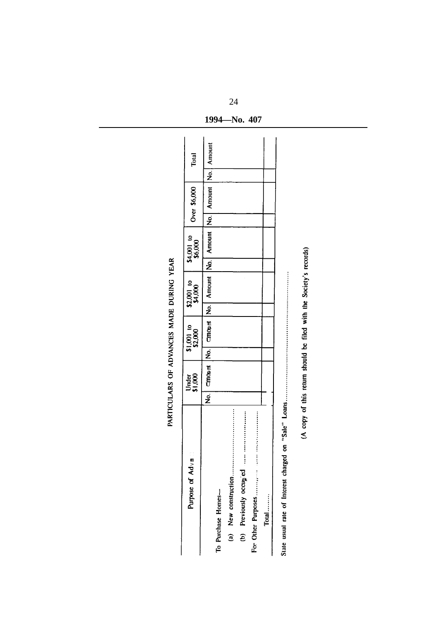| Purpose of Ad <sub>v</sub> a |                | Under<br>\$1,000    |                               | $$1,001$ to<br>\$2,000 | $$2,001$ to $$4,000$ | \$4,001 to<br>\$6,000             | Over \$6,000        | Total |
|------------------------------|----------------|---------------------|-------------------------------|------------------------|----------------------|-----------------------------------|---------------------|-------|
|                              | $\overline{z}$ | $\overline{C}$ monm | $\overline{\mathbf{\dot{z}}}$ | L<br>Encept            |                      | No.   Amount   No.   Amount   No. | Amount No.   Amount |       |
| To Purchase Homes-           |                |                     |                               |                        |                      |                                   |                     |       |
| (a) New construction         |                |                     |                               |                        |                      |                                   |                     |       |
| (b) Previously occupied      |                |                     |                               |                        |                      |                                   |                     |       |
|                              |                |                     |                               |                        |                      |                                   |                     |       |
| Total                        |                |                     |                               |                        |                      |                                   |                     |       |

1994 No. 407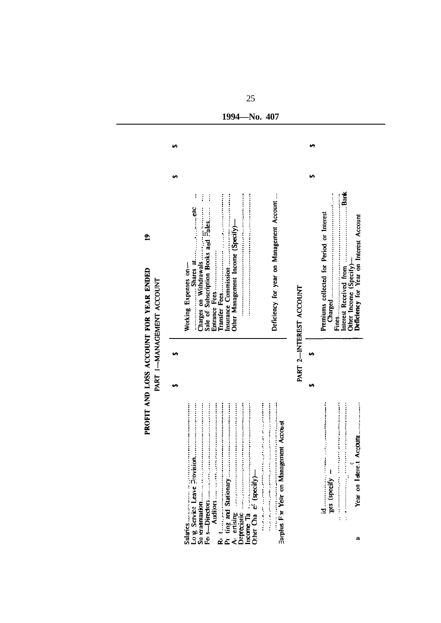|                                                     |    | ≘<br>PROFIT AND LOSS ACCOUNT FOR YEAR ENDED<br>PART I-MANAGEMENT ACCOUNT                                                                                                                             |    |  |
|-----------------------------------------------------|----|------------------------------------------------------------------------------------------------------------------------------------------------------------------------------------------------------|----|--|
|                                                     |    |                                                                                                                                                                                                      | မာ |  |
| <br><br>医皮质性皮炎 医皮质 医血管下腺炎 医血管下腺炎 医血管切除术<br>Salaries |    | İ<br>ł<br>Ì<br>Sale of Subscription Books a <sub>nd</sub> Fales<br>Other Management Income (Specify)-<br>Charges on Withdrawals<br><br>Entrance Fees<br>Insurance Commission<br>Working Expenses on- |    |  |
| Barplus For Year on Management Account              |    | Deficiency for year on Management Account                                                                                                                                                            |    |  |
|                                                     |    | PART 2-INTEREST ACCOUNT                                                                                                                                                                              |    |  |
| $\frac{1}{2}$ es (specify $-$<br>$\vdots$           | U) | Premiums collected for Period or Interest                                                                                                                                                            | မာ |  |
| Year on lotere.1 Account<br>a                       |    | Other Income (Specify)—<br>Deficiency for Year on Interest Account                                                                                                                                   |    |  |
|                                                     |    |                                                                                                                                                                                                      |    |  |

1994—No. 407

 $\overline{\phantom{0}}$ 

 $\overline{a}$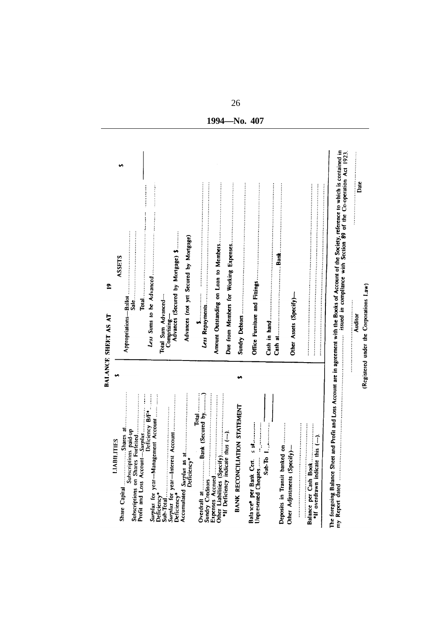| LITIES<br>LIABII                                                                              |                                                                                                                                                                                                                                                                                                                                                                                                                                                     |
|-----------------------------------------------------------------------------------------------|-----------------------------------------------------------------------------------------------------------------------------------------------------------------------------------------------------------------------------------------------------------------------------------------------------------------------------------------------------------------------------------------------------------------------------------------------------|
| $\blacksquare$ Shares at $\ldots$<br>Share Capital                                            | ومه<br>ASSETS<br>G,                                                                                                                                                                                                                                                                                                                                                                                                                                 |
| Profit and Loss Account-Surplus<br>Subscriptions paid-up<br>Subscriptions on Shares           |                                                                                                                                                                                                                                                                                                                                                                                                                                                     |
| <b><i><u><u><b></b></u></u></i></b><br>Surplus for year-Management Account<br>Deficiency B/F* | Total and distribution of the component of the component of                                                                                                                                                                                                                                                                                                                                                                                         |
| Sub-Total<br>Surplus for year—Interest<br>Deficiency*<br>Deficiency*                          | Total Sum Advanced-                                                                                                                                                                                                                                                                                                                                                                                                                                 |
|                                                                                               | Comprising-<br>Advances (Secured by Mongage) \$                                                                                                                                                                                                                                                                                                                                                                                                     |
| Deficiency*<br>Accumulated Surplus as                                                         | Advances (not yet Secured by Mortgage)                                                                                                                                                                                                                                                                                                                                                                                                              |
| Total<br>Bank (Secured by)<br>Sundry Creditors<br>Overdraft at                                | $\begin{minipage}{0.9\linewidth} \begin{tabular}{ c c c } \hline \multicolumn{3}{ c }{\textbf{1}} & \multicolumn{3}{ c }{\textbf{2}} & \multicolumn{3}{ c }{\textbf{3}} & \multicolumn{3}{ c }{\textbf{4}} & \multicolumn{3}{ c }{\textbf{5}} & \multicolumn{3}{ c }{\textbf{6}} & \multicolumn{3}{ c }{\textbf{6}} & \multicolumn{3}{ c }{\textbf{7}} & \multicolumn{3}{ c }{\textbf{8}} & \multicolumn{3}{ c }{\textbf{9}} & \multicolumn{3}{ c $ |
| Other Liabilities (Specify)                                                                   |                                                                                                                                                                                                                                                                                                                                                                                                                                                     |
| *If Deficiency indicate thus (--).                                                            |                                                                                                                                                                                                                                                                                                                                                                                                                                                     |
| <b>BANK RECONCILIATION STATEMENT</b>                                                          |                                                                                                                                                                                                                                                                                                                                                                                                                                                     |
| $\frac{1}{2}$ and $\frac{1}{2}$<br>Unpresented Cheques<br>Balance per Bank Cen.               |                                                                                                                                                                                                                                                                                                                                                                                                                                                     |
| $Sub$ -To                                                                                     |                                                                                                                                                                                                                                                                                                                                                                                                                                                     |
| Deposits in Transit banked on                                                                 |                                                                                                                                                                                                                                                                                                                                                                                                                                                     |
| Other Adjustments (Specify)-                                                                  | Other Assets (Specify)-                                                                                                                                                                                                                                                                                                                                                                                                                             |
| this $(-)$ .<br>Balance per Cash Book<br>*If overdrawn indicate                               |                                                                                                                                                                                                                                                                                                                                                                                                                                                     |
| The foregoing Balance Sheet<br>my Report dated                                                | and Profit and Loss Account are in agreement with the Books of Account of the Society, reference to which is contained in $\ldots$ is a set of the state of the Co-operation Act 1923.                                                                                                                                                                                                                                                              |
|                                                                                               | $\begin{bmatrix} 1 & 0 & 0 \\ 0 & 1 & 0 \\ 0 & 0 & 0 \\ 0 & 0 & 0 \\ 0 & 0 & 0 \\ 0 & 0 & 0 \\ 0 & 0 & 0 & 0 \\ 0 & 0 & 0 & 0 \\ 0 & 0 & 0 & 0 \\ 0 & 0 & 0 & 0 & 0 \\ 0 & 0 & 0 & 0 & 0 \\ 0 & 0 & 0 & 0 & 0 \\ 0 & 0 & 0 & 0 & 0 & 0 \\ 0 & 0 & 0 & 0 & 0 & 0 \\ 0 & 0 & 0 & 0 & 0 & 0 & 0 \\ 0 & 0 & 0 & 0 & 0 & 0 & 0 \\ $<br>Date<br>Auditor                                                                                                   |
|                                                                                               | (Registered under the Corporations Law)                                                                                                                                                                                                                                                                                                                                                                                                             |

26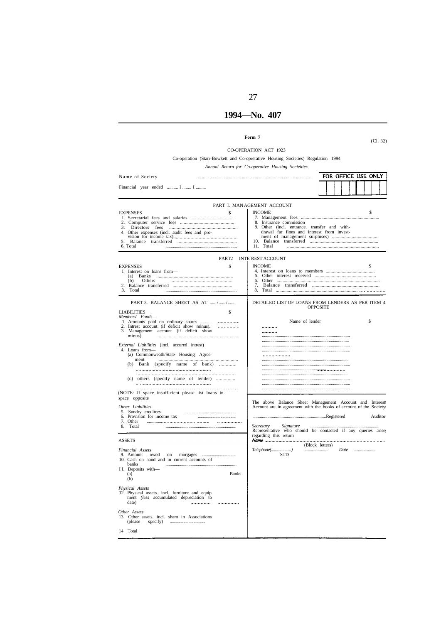#### **1994—No. 407**

27

#### CO-OPERATION ACT 1923

Co-operation (Starr-Bowkett and Co-oprerative Housing Societies) Regulation 1994

Name of Society

*Annual Return for Co-operative Housing Socieities* 

Financial year ended .......... I ........ I PART I. MAN AGEMENT ACCOUNT INCOME \$ 7. Management fees ................................................................. EXPENSES \$ I. Secretarial fees and salaries ................................... 2. Computer service fees ............................................ 8. lnsurance commission 9. Other (incl. entrance. transfer and with-3. Directors fees ....................................................... 4. Other expenses (incl. audit fees and prodrawal far fines and interest from invest- ment of management surpluses) ...................................... 10. Balance transferred ........................................................ 11. Total ........................................................................... 5. Balance transferred ................................................ vision for income tax)................................................  $6, Total$ PART2 INTE REST ACCOUNT EXPENSES \$ INCOME S 4. Interest on loans to members ........................................ 5. Other interest received .................................................. I. Interest on loans from— (a) Banks .............................................................. 6. Other ...................................................................................... (b) Others ............................................... 7. Balance transferred ....................................................... 2. Balance transferred ................................................. 3. Total ....................................................................  $8.$  Total PART 3. BALANCE SHEET AS AT ....../......./....... DETAILED LIST OF LOANS FROM LENDERS AS PER ITEM 4 OPPOSITE EXTRES **Members' Funds—**<br>
1. Amounts paid on ordinary shares .......... ........... Name of lender \$ 2. Intrest account (if deficit show minus). 3. Management account (if deficit show . . . . . . . . . . minus) ................................................................................... .................................................................................. *External Liabilities* (incl. accured intrest) ................................................................................... 4. Loans from—<br>
(a) Commonweath/State Housing Agree-................................................................................... (b) Bank (specify name of bank) ............. ment ................................................................ ................................................................................. ................................................................................... .............................................................. ...................................................................... (c) others (specify name of lender) ............... ................................................................................. ................................................................................... ................................................................................... ......................................................... (NOTE: If space insufficient please list loans in ................................................................................... space opposite The above Balance Sheet Management Account and Interest Account are in agreement with the books of account of the Society *Other Liabilities*  5. Sundry creditors .................................................... 6. Provision for income tax ....................................... 7. Other ................ .... 8. Total .................................................................... ...................................................................Registered Auditor *Secretary Signature* .................................................................. Representative who should be contacted if any queries arise regarding this return ASSETS (Block letters) *Telephone(.....................)* .......................... *Date* ....................... *Financial Assets* 9. Amount owed on morgages ................................... .............<br>רדי 10. Cash on hand and in current accounts of banks I I. Deposits with— Exposits with Banks  $(b)$ *Physical Assets*  12. Physical assets. incl. furniture and equip ment *(less* accumulated depreciation to date) *Other Assets*  13. Other assets. incl. sham in Associations (please specify) .................................... 14 Total

FOR OFFICE USE ONLY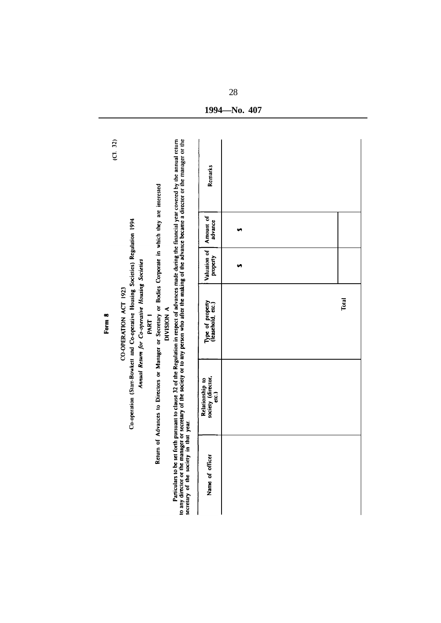| (C1, 32) |                                                                                                                                                                       |                                                                                                          |                                                                                                                                                                                                                        | Remarks                                                          |    |       |
|----------|-----------------------------------------------------------------------------------------------------------------------------------------------------------------------|----------------------------------------------------------------------------------------------------------|------------------------------------------------------------------------------------------------------------------------------------------------------------------------------------------------------------------------|------------------------------------------------------------------|----|-------|
|          |                                                                                                                                                                       |                                                                                                          |                                                                                                                                                                                                                        | Amount of<br>advance                                             | G, |       |
|          |                                                                                                                                                                       |                                                                                                          |                                                                                                                                                                                                                        | Valuation of<br>property                                         | ω. |       |
| Form 8   | Co-operation (Star-Bowkett and Co-operative Housing Societies) Regulation 1994<br>Annual Return for Co-operative Housing Societies<br>CO-OPERATION ACT 1923<br>PART 1 | DIVISION A                                                                                               |                                                                                                                                                                                                                        | Type of property<br>(leasehold, etc.)                            |    | Total |
|          |                                                                                                                                                                       | Return of Advances to Directors or Manager or Secretary or Bodies Corporate in which they are interested | set forth pursuant to clause 32 of the Regulation in respect of advances made during the financial year covered by the annual return                                                                                   | society (director,<br>Relationship to<br>$\overline{\mathbf{c}}$ |    |       |
|          |                                                                                                                                                                       |                                                                                                          | to any director or the manager or secretary of the society or to any person who after the making of the advance became a director or the manager or the<br>secretary of the society in that year.<br>Particulars to be | Name of officer                                                  |    |       |

1994 No. 407

28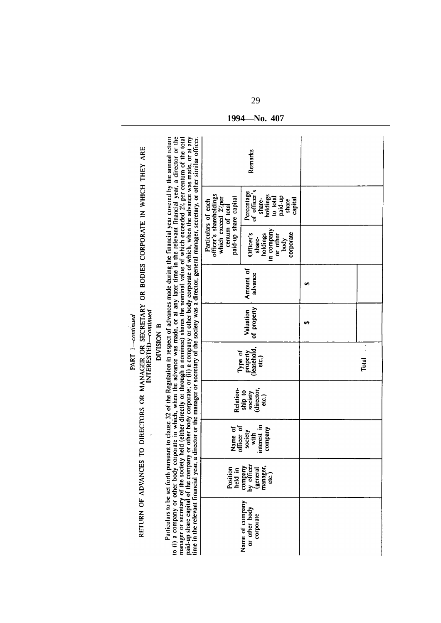|                                                                            |                     |                   | Particulars to be set forth pursuant to clause 32 of the Regulation in respect of advances made during the financial year covered by the annual return<br>held (either directly or through a nominee) shares the nominal value of which exceeded 2% per centum of the total<br>director or the manager or secretary of the society was a director, general manager, secretary, or other similar officer. |                                                                                                                  | Remarks                                                                                     |      |       |
|----------------------------------------------------------------------------|---------------------|-------------------|----------------------------------------------------------------------------------------------------------------------------------------------------------------------------------------------------------------------------------------------------------------------------------------------------------------------------------------------------------------------------------------------------------|------------------------------------------------------------------------------------------------------------------|---------------------------------------------------------------------------------------------|------|-------|
|                                                                            |                     |                   |                                                                                                                                                                                                                                                                                                                                                                                                          | officer's shareholdings<br>paid-up share capital<br>which exceed 2/per<br>Particulars of each<br>centum of total | of officer's<br>Percentage<br>holdings<br>paid-up<br>to total<br>share-<br>capital<br>share |      |       |
|                                                                            |                     |                   |                                                                                                                                                                                                                                                                                                                                                                                                          |                                                                                                                  | in company<br>corporate<br>Officer's<br>holdings<br>or other<br>share-<br>body              |      |       |
|                                                                            |                     |                   |                                                                                                                                                                                                                                                                                                                                                                                                          |                                                                                                                  | Amount of<br>advance                                                                        | وميه |       |
| PART 1-continued                                                           |                     | <b>DIVISION B</b> |                                                                                                                                                                                                                                                                                                                                                                                                          |                                                                                                                  | of property<br>Valuation                                                                    |      |       |
|                                                                            | NTERESTED-continued |                   |                                                                                                                                                                                                                                                                                                                                                                                                          | Type of                                                                                                          | leasehold,<br>property<br>elc.)                                                             |      | Total |
| TO DIRECTORS OR MANAGER OR SECRETARY OR BODIES CORPORATE IN WHICH THEY ARE |                     |                   | Relation-                                                                                                                                                                                                                                                                                                                                                                                                | director,<br>ship to<br>society<br>etc.                                                                          |                                                                                             |      |       |
|                                                                            |                     |                   |                                                                                                                                                                                                                                                                                                                                                                                                          | officer of<br>Name of                                                                                            | interest in<br>company<br>society<br>$\frac{1}{2}$                                          |      |       |
|                                                                            |                     |                   |                                                                                                                                                                                                                                                                                                                                                                                                          | Position<br>held in                                                                                              | by officer<br>manager,<br>company<br>(general<br>cic.)                                      |      |       |
|                                                                            | RETURN OF ADVANCES  |                   | to (i) a company or other body corporate in which, when the advance was made, or at any later time in the relevant financial year, a director or the<br>paid-up share capital of the company or other body corporate; or (ii) a company or other body corporate of which, when the advance was made, or at any<br>manager or secretary of the society<br>time in the relevant financial year, a          |                                                                                                                  | Name of company<br>or other body<br>corporate                                               |      |       |

1994 No. 407

29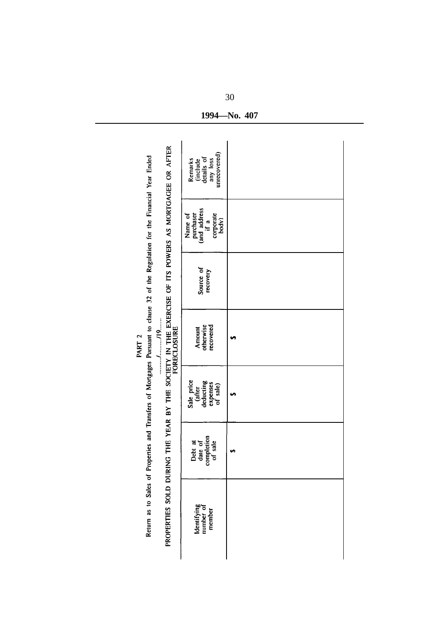| Return as to Sales of Properties and Transfers of Mortgages Pursuant to clause 32 of the Regulation for the Financial Year Ended | unccovered)<br>Remarks<br>(include<br>details of<br>any loss       |   |
|----------------------------------------------------------------------------------------------------------------------------------|--------------------------------------------------------------------|---|
|                                                                                                                                  | (and address<br>purchaser<br>corporate<br>body)<br>Name of<br>if a |   |
|                                                                                                                                  | Source of<br>recovery                                              |   |
| 19                                                                                                                               | otherwise<br>recovered<br>Amount                                   |   |
|                                                                                                                                  | Sale price<br>deducting<br>expenses<br>of sale)<br>(after          |   |
|                                                                                                                                  | completion<br>of sale<br>date of<br>Debt at                        | H |
| PROPERTIES SOLD DURING THE YEAR BY THE SOCIETY IN THE EXERCISE OF ITS POWERS AS MORTGAGEE OR AFTER<br>FORECLOSURE                | Identifying<br>number of<br>member                                 |   |

1994 No. 407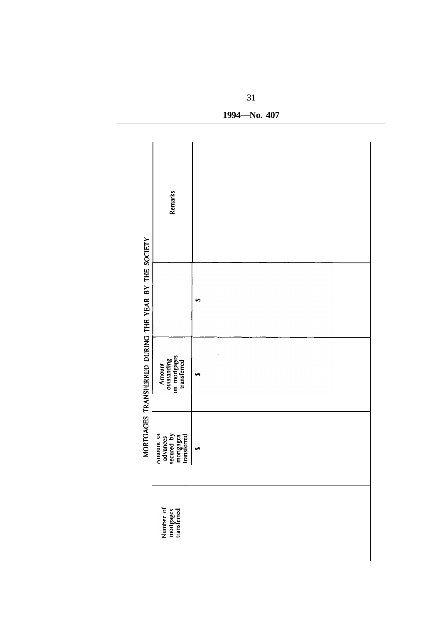|                                                      | <b>Remarks</b>                                                  |          |  |
|------------------------------------------------------|-----------------------------------------------------------------|----------|--|
|                                                      |                                                                 | u٩       |  |
| MORTGAGES TRANSFERRED DURING THE YEAR BY THE SOCIETY | Amount<br>outstanding<br>on mortgages<br>transferred            | <b>ی</b> |  |
|                                                      | advances<br>secured by<br>Amount or<br>mortgages<br>transferred | م        |  |
|                                                      | Number of<br>mortgages<br>transferred                           |          |  |

1994-No. 407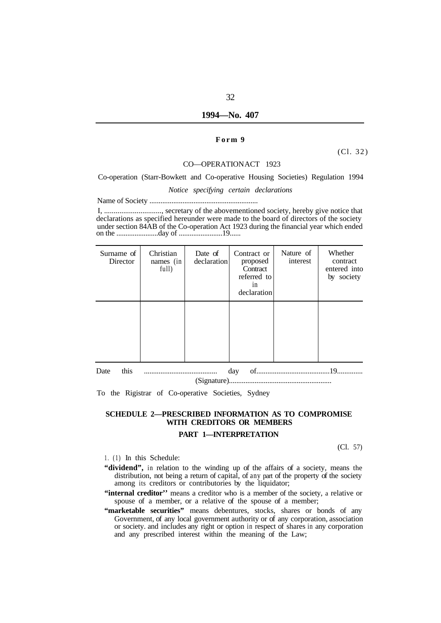#### **1994—No. 407**

#### **Form 9**

(Cl. 32)

#### CO—OPERATION ACT 1923

#### Co-operation (Starr-Bowkett and Co-operative Housing Societies) Regulation 1994

*Notice specifying certain declarations* 

Name of Society ...........................................................

I, .............................., secretary of the abovementioned society, hereby give notice that declarations as specified hereunder were made to the board of directors of the society under section 84AB of the Co-operation Act 1923 during the financial year which ended on the .......................day of ........................19......

| Surname of<br>Director | Christian<br>names (in<br>full) | Date of<br>declaration | Contract or<br>proposed<br>Contract<br>referred to<br>1n<br>declaration | Nature of<br>interest | Whether<br>contract<br>entered into<br>by society |
|------------------------|---------------------------------|------------------------|-------------------------------------------------------------------------|-----------------------|---------------------------------------------------|
|                        |                                 |                        |                                                                         |                       |                                                   |
| this<br>Date           |                                 |                        | day                                                                     |                       |                                                   |

To the Rigistrar of Co-operative Societies, Sydney

# **SCHEDULE 2—PRESCRIBED INFORMATION AS TO COMPROMISE WITH CREDITORS OR MEMBERS**

#### **PART 1—INTERPRETATION**

(Cl. 57)

- 1. (1) In this Schedule:
- **"dividend",** in relation to the winding up of the affairs of a society, means the distribution, not being a return of capital, of any part of the property of the society among its creditors or contributories by the liquidator;
- "internal creditor" means a creditor who is a member of the society, a relative or spouse of a member, or a relative of the spouse of a member;
- "marketable securities" means debentures, stocks, shares or bonds of any Government, of any local government authority or of any corporation, association or society. and includes any right or option in respect of shares in any corporation and any prescribed interest within the meaning of the Law;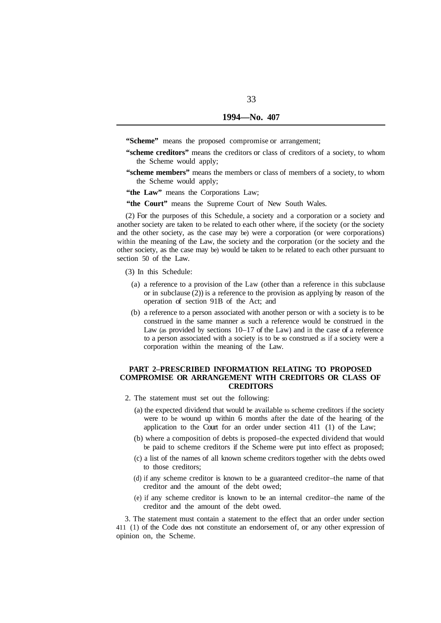"Scheme" means the proposed compromise or arrangement;

- **"scheme creditors"** means the creditors or class of creditors of a society, to whom the Scheme would apply;
- **"scheme members"** means the members or class of members of a society, to whom the Scheme would apply;
- "the Law" means the Corporations Law:
- "the Court" means the Supreme Court of New South Wales.

(2) For the purposes of this Schedule, a society and a corporation or a society and another society are taken to be related to each other where, if the society (or the society and the other society, as the case may be) were a corporation (or were corporations) within the meaning of the Law, the society and the corporation (or the society and the other society, as the case may be) would be taken to be related to each other pursuant to section 50 of the Law.

(3) In this Schedule:

- (a) a reference to a provision of the Law (other than a reference in this subclause or in subclause (2)) is a reference to the provision as applying by reason of the operation of section 91B of the Act; and
- (b) a reference to a person associated with another person or with a society is to be construed in the same manner as such a reference would be construed in the Law (as provided by sections 10–17 of the Law) and in the case of a reference to a person associated with a society is to be so construed as if a society were a corporation within the meaning of the Law.

#### **PART 2–PRESCRIBED INFORMATION RELATING TO PROPOSED COMPROMISE OR ARRANGEMENT WITH CREDITORS OR CLASS OF CREDITORS**

- 2. The statement must set out the following:
	- (a) the expected dividend that would be available to scheme creditors if the society were to be wound up within 6 months after the date of the hearing of the application to the Court for an order under section 411 (1) of the Law;
	- (b) where a composition of debts is proposed–the expected dividend that would be paid to scheme creditors if the Scheme were put into effect as proposed;
	- (c) a list of the names of all known scheme creditors together with the debts owed to those creditors;
	- (d) if any scheme creditor is known to be a guaranteed creditor–the name of that creditor and the amount of the debt owed;
	- (e) if any scheme creditor is known to be an internal creditor–the name of the creditor and the amount of the debt owed.

3. The statement must contain a statement to the effect that an order under section 411 (1) of the Code does not constitute an endorsement of, or any other expression of opinion on, the Scheme.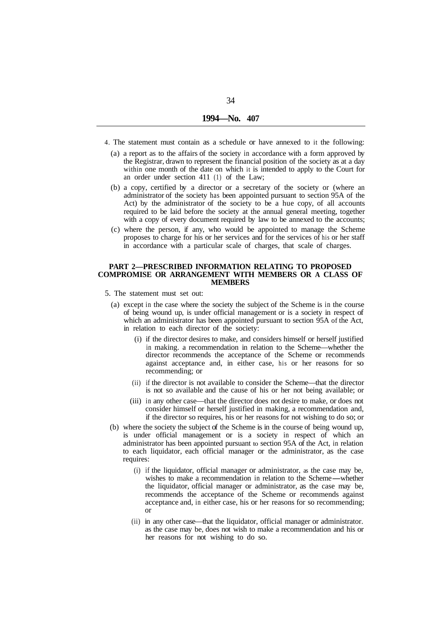- 4. The statement must contain as a schedule or have annexed to it the following:
	- (a) a report as to the affairs of the society in accordance with a form approved by the Registrar, drawn to represent the financial position of the society as at a day within one month of the date on which it is intended to apply to the Court for an order under section 411 (1) of the Law;
	- (b) a copy, certified by a director or a secretary of the society or (where an administrator of the society has been appointed pursuant to section 95A of the Act) by the administrator of the society to be a hue copy, of all accounts required to be laid before the society at the annual general meeting, together with a copy of every document required by law to be annexed to the accounts;
	- (c) where the person, if any, who would be appointed to manage the Scheme proposes to charge for his or her services and for the services of his or her staff in accordance with a particular scale of charges, that scale of charges.

#### **PART 2—PRESCRIBED INFORMATION RELATING TO PROPOSED COMPROMISE OR ARRANGEMENT WITH MEMBERS OR A CLASS OF MEMBERS**

- 5. The statement must set out:
	- (a) except in the case where the society the subject of the Scheme is in the course of being wound up, is under official management or is a society in respect of which an administrator has been appointed pursuant to section 95A of the Act, in relation to each director of the society:
		- (i) if the director desires to make, and considers himself or herself justified in making. a recommendation in relation to the Scheme—whether the director recommends the acceptance of the Scheme or recommends against acceptance and, in either case, his or her reasons for so recommending; or
		- (ii) if the director is not available to consider the Scheme—that the director is not so available and the cause of his or her not being available; or
		- (iii) in any other case—that the director does not desire to make, or does not consider himself or herself justified in making, a recommendation and, if the director so requires, his or her reasons for not wishing to do so; or
	- (b) where the society the subject of the Scheme is in the course of being wound up, is under official management or is a society in respect of which an administrator has been appointed pursuant to section 95A of the Act, in relation to each liquidator, each official manager or the administrator, as the case requires:
		- (i) if the liquidator, official manager or administrator, as the case may be, wishes to make a recommendation in relation to the Scheme-whether the liquidator, official manager or administrator, as the case may be, recommends the acceptance of the Scheme or recommends against acceptance and, in either case, his or her reasons for so recommending; or
		- (ii) in any other case—that the liquidator, official manager or administrator. as the case may be, does not wish to make a recommendation and his or her reasons for not wishing to do so.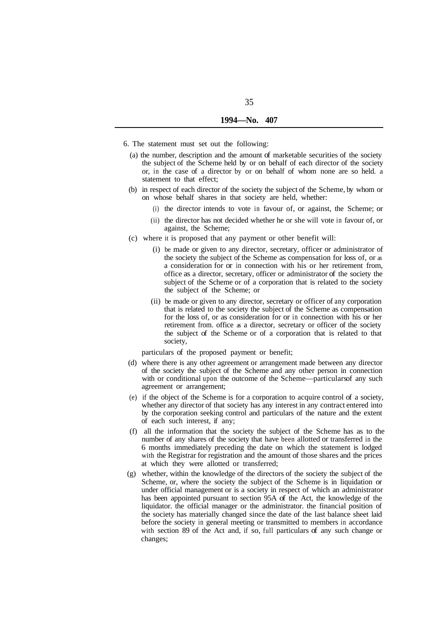- 6. The statement must set out the following:
	- (a) the number, description and the amount of marketable securities of the society the subject of the Scheme held by or on behalf of each director of the society or, in the case of a director by or on behalf of whom none are so held. a statement to that effect;
	- (b) in respect of each director of the society the subject of the Scheme, by whom or on whose behalf shares in that society are held, whether:
		- (i) the director intends to vote in favour of, or against, the Scheme; or
		- (ii) the director has not decided whether he or she will vote in favour of, or against, the Scheme;
	- (c) where it is proposed that any payment or other benefit will:
		- (i) be made or given to any director, secretary, officer or administrator of the society the subject of the Scheme as compensation for loss of, or as a consideration for or in connection with his or her retirement from, office as a director, secretary, officer or administrator of the society the subject of the Scheme or of a corporation that is related to the society the subject of the Scheme; or
		- (ii) be made or given to any director, secretary or officer of any corporation that is related to the society the subject of the Scheme as compensation for the loss of, or as consideration for or in connection with his or her retirement from. office as a director, secretary or officer of the society the subject of the Scheme or of a corporation that is related to that society,

particulars of the proposed payment or benefit;

- (d) where there is any other agreement or arrangement made between any director of the society the subject of the Scheme and any other person in connection with or conditional upon the outcome of the Scheme—particulars of any such agreement or arrangement;
- (e) if the object of the Scheme is for a corporation to acquire control of a society, whether any director of that society has any interest in any contract entered into by the corporation seeking control and particulars of the nature and the extent of each such interest, if any;
- (f) all the information that the society the subject of the Scheme has as to the number of any shares of the society that have been allotted or transferred in the 6 months immediately preceding the date on which the statement is lodged with the Registrar for registration and the amount of those shares and the prices at which they were allotted or transferred;
- (g) whether, within the knowledge of the directors of the society the subject of the Scheme, or, where the society the subject of the Scheme is in liquidation or under official management or is a society in respect of which an administrator has been appointed pursuant to section 95A of the Act, the knowledge of the liquidator. the official manager or the administrator. the financial position of the society has materially changed since the date of the last balance sheet laid before the society in general meeting or transmitted to members in accordance with section 89 of the Act and, if so, full particulars of any such change or changes;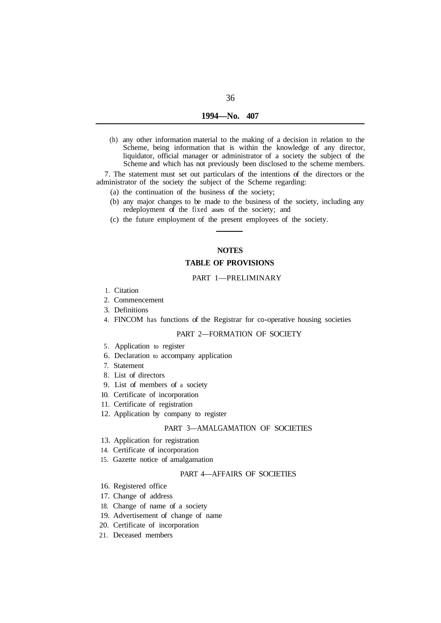| 1994-No. | 407 |
|----------|-----|
|          |     |

(h) any other information material to the making of a decision in relation to the Scheme, being information that is within the knowledge of any director, liquidator, official manager or administrator of a society the subject of the Scheme and which has not previously been disclosed to the scheme members.

7. The statement must set out particulars of the intentions of the directors or the administrator of the society the subject of the Scheme regarding:

- (a) the continuation of the business of the society;
- (b) any major changes to be made to the business of the society, including any redeployment of the fixed assets of the society; and
- (c) the future employment of the present employees of the society.

# **NOTES**

# **TABLE OF PROVISIONS**

#### PART 1—PRELIMINARY

- 1. Citation
- 2. Commencement
- 3. Definitions
- 4. FINCOM has functions of the Registrar for co-operative housing societies

#### PART 2—FORMATION OF SOCIETY

- 5. Application to register
- 6. Declaration to accompany application
- 7. Statement
- 8. List of directors
- 9. List of members of a society
- 10. Certificate of incorporation
- 11. Certificate of registration
- 12. Application by company to register

#### PART 3—AMALGAMATION OF SOCIETIES

- 13. Application for registration
- 14. Certificate of incorporation
- 15. Gazette notice of amalgamation

## PART 4—AFFAIRS OF SOCIETIES

- 16. Registered office
- 17. Change of address
- 18. Change of name of a society
- 19. Advertisement of change of name
- 20. Certificate of incorporation
- 21. Deceased members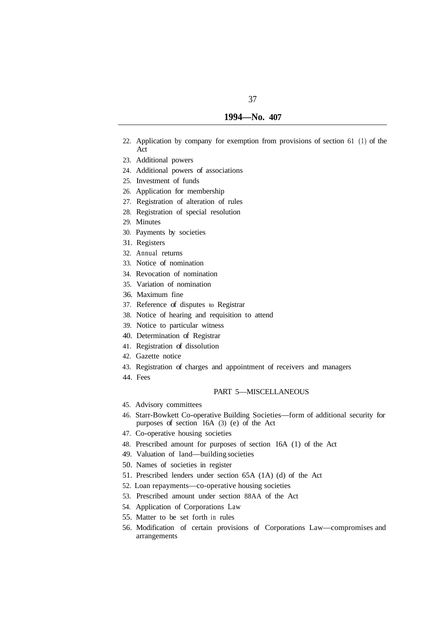- 22. Application by company for exemption from provisions of section 61 (1) of the Act
- 23. Additional powers
- 24. Additional powers of associations
- 25. Investment of funds
- 26. Application for membership
- 27. Registration of alteration of rules
- 28. Registration of special resolution
- 29. Minutes
- 30. Payments by societies
- 31. Registers
- 32. Annual returns
- 33. Notice of nomination
- 34. Revocation of nomination
- 35. Variation of nomination
- 36. Maximum fine
- 37. Reference of disputes to Registrar
- 38. Notice of hearing and requisition to attend
- 39. Notice to particular witness
- 40. Determination of Registrar
- 41. Registration of dissolution
- 42. Gazette notice
- 43. Registration of charges and appointment of receivers and managers
- 44. Fees

#### PART 5—MISCELLANEOUS

- 45. Advisory committees
- 46. Starr-Bowkett Co-operative Building Societies—form of additional security for purposes of section 16A (3) (e) of the Act
- 47. Co-operative housing societies
- 48. Prescribed amount for purposes of section 16A (1) of the Act
- 49. Valuation of land—building societies
- 50. Names of societies in register
- 51. Prescribed lenders under section 65A (1A) (d) of the Act
- 52. Loan repayments—co-operative housing societies
- 53. Prescribed amount under section 88AA of the Act
- 54. Application of Corporations Law
- 55. Matter to be set forth in rules
- 56. Modification of certain provisions of Corporations Law—compromises and arrangements